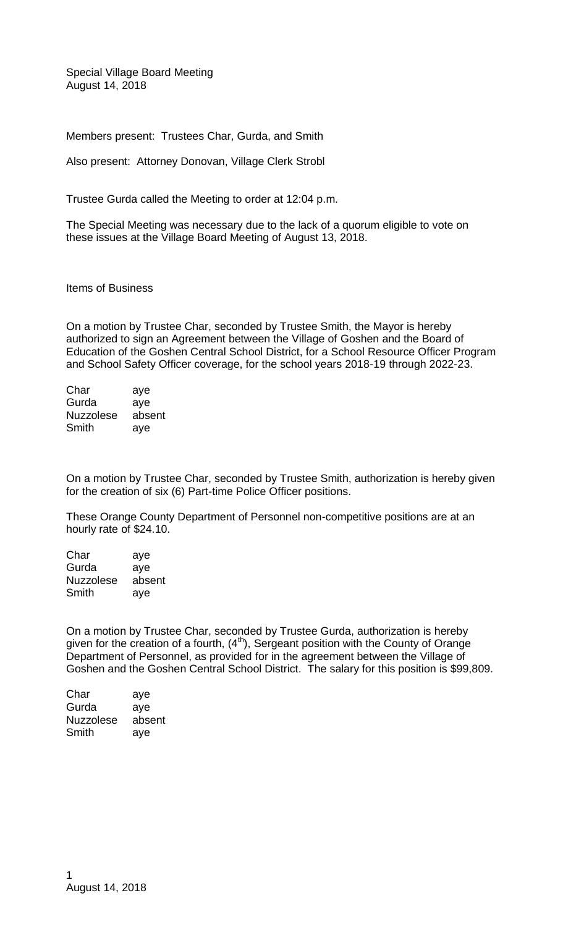Special Village Board Meeting August 14, 2018

Members present: Trustees Char, Gurda, and Smith

Also present: Attorney Donovan, Village Clerk Strobl

Trustee Gurda called the Meeting to order at 12:04 p.m.

The Special Meeting was necessary due to the lack of a quorum eligible to vote on these issues at the Village Board Meeting of August 13, 2018.

Items of Business

On a motion by Trustee Char, seconded by Trustee Smith, the Mayor is hereby authorized to sign an Agreement between the Village of Goshen and the Board of Education of the Goshen Central School District, for a School Resource Officer Program and School Safety Officer coverage, for the school years 2018-19 through 2022-23.

| Char             | aye    |
|------------------|--------|
| Gurda            | aye    |
| <b>Nuzzolese</b> | absent |
| Smith            | aye    |

On a motion by Trustee Char, seconded by Trustee Smith, authorization is hereby given for the creation of six (6) Part-time Police Officer positions.

These Orange County Department of Personnel non-competitive positions are at an hourly rate of \$24.10.

Char aye Gurda aye Nuzzolese absent Smith aye

On a motion by Trustee Char, seconded by Trustee Gurda, authorization is hereby given for the creation of a fourth,  $(4<sup>th</sup>)$ , Sergeant position with the County of Orange Department of Personnel, as provided for in the agreement between the Village of Goshen and the Goshen Central School District. The salary for this position is \$99,809.

| aye    |
|--------|
| aye    |
| absent |
| aye    |
|        |